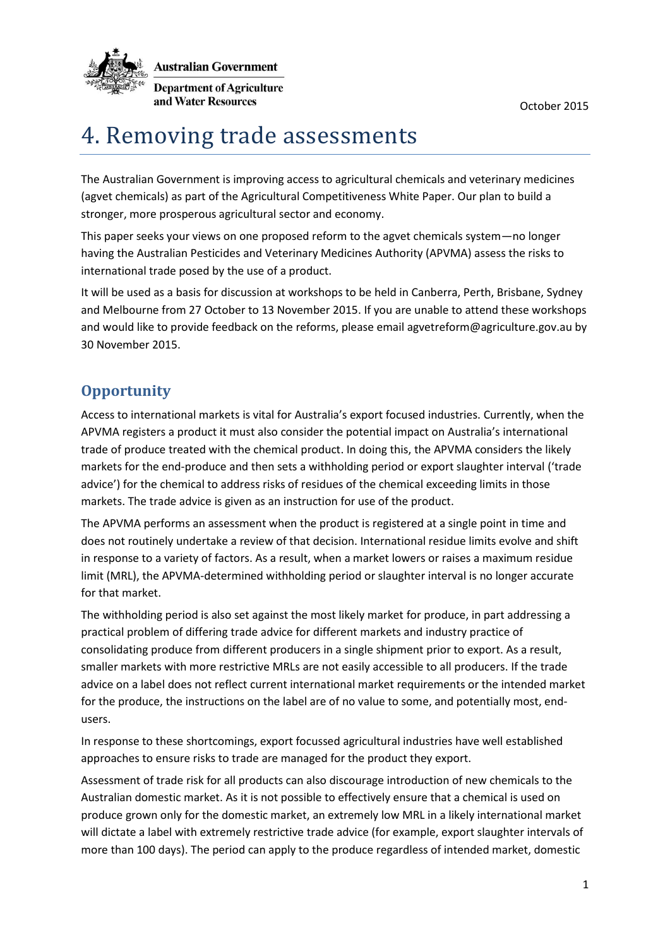

# 4. Removing trade assessments

The Australian Government is improving access to agricultural chemicals and veterinary medicines (agvet chemicals) as part of the Agricultural Competitiveness White Paper. Our plan to build a stronger, more prosperous agricultural sector and economy.

This paper seeks your views on one proposed reform to the agvet chemicals system—no longer having the Australian Pesticides and Veterinary Medicines Authority (APVMA) assess the risks to international trade posed by the use of a product.

It will be used as a basis for discussion at workshops to be held in Canberra, Perth, Brisbane, Sydney and Melbourne from 27 October to 13 November 2015. If you are unable to attend these workshops and would like to provide feedback on the reforms, please email agvetreform@agriculture.gov.au by 30 November 2015.

## **Opportunity**

Access to international markets is vital for Australia's export focused industries. Currently, when the APVMA registers a product it must also consider the potential impact on Australia's international trade of produce treated with the chemical product. In doing this, the APVMA considers the likely markets for the end-produce and then sets a withholding period or export slaughter interval ('trade advice') for the chemical to address risks of residues of the chemical exceeding limits in those markets. The trade advice is given as an instruction for use of the product.

The APVMA performs an assessment when the product is registered at a single point in time and does not routinely undertake a review of that decision. International residue limits evolve and shift in response to a variety of factors. As a result, when a market lowers or raises a maximum residue limit (MRL), the APVMA-determined withholding period or slaughter interval is no longer accurate for that market.

The withholding period is also set against the most likely market for produce, in part addressing a practical problem of differing trade advice for different markets and industry practice of consolidating produce from different producers in a single shipment prior to export. As a result, smaller markets with more restrictive MRLs are not easily accessible to all producers. If the trade advice on a label does not reflect current international market requirements or the intended market for the produce, the instructions on the label are of no value to some, and potentially most, endusers.

In response to these shortcomings, export focussed agricultural industries have well established approaches to ensure risks to trade are managed for the product they export.

Assessment of trade risk for all products can also discourage introduction of new chemicals to the Australian domestic market. As it is not possible to effectively ensure that a chemical is used on produce grown only for the domestic market, an extremely low MRL in a likely international market will dictate a label with extremely restrictive trade advice (for example, export slaughter intervals of more than 100 days). The period can apply to the produce regardless of intended market, domestic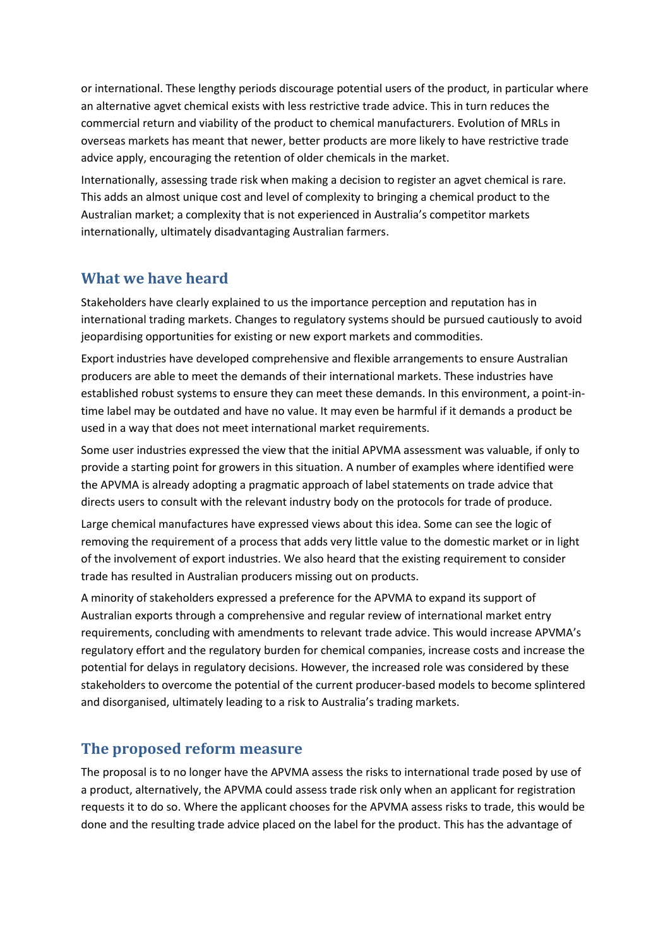or international. These lengthy periods discourage potential users of the product, in particular where an alternative agvet chemical exists with less restrictive trade advice. This in turn reduces the commercial return and viability of the product to chemical manufacturers. Evolution of MRLs in overseas markets has meant that newer, better products are more likely to have restrictive trade advice apply, encouraging the retention of older chemicals in the market.

Internationally, assessing trade risk when making a decision to register an agvet chemical is rare. This adds an almost unique cost and level of complexity to bringing a chemical product to the Australian market; a complexity that is not experienced in Australia's competitor markets internationally, ultimately disadvantaging Australian farmers.

### **What we have heard**

Stakeholders have clearly explained to us the importance perception and reputation has in international trading markets. Changes to regulatory systems should be pursued cautiously to avoid jeopardising opportunities for existing or new export markets and commodities.

Export industries have developed comprehensive and flexible arrangements to ensure Australian producers are able to meet the demands of their international markets. These industries have established robust systems to ensure they can meet these demands. In this environment, a point-intime label may be outdated and have no value. It may even be harmful if it demands a product be used in a way that does not meet international market requirements.

Some user industries expressed the view that the initial APVMA assessment was valuable, if only to provide a starting point for growers in this situation. A number of examples where identified were the APVMA is already adopting a pragmatic approach of label statements on trade advice that directs users to consult with the relevant industry body on the protocols for trade of produce.

Large chemical manufactures have expressed views about this idea. Some can see the logic of removing the requirement of a process that adds very little value to the domestic market or in light of the involvement of export industries. We also heard that the existing requirement to consider trade has resulted in Australian producers missing out on products.

A minority of stakeholders expressed a preference for the APVMA to expand its support of Australian exports through a comprehensive and regular review of international market entry requirements, concluding with amendments to relevant trade advice. This would increase APVMA's regulatory effort and the regulatory burden for chemical companies, increase costs and increase the potential for delays in regulatory decisions. However, the increased role was considered by these stakeholders to overcome the potential of the current producer-based models to become splintered and disorganised, ultimately leading to a risk to Australia's trading markets.

#### **The proposed reform measure**

The proposal is to no longer have the APVMA assess the risks to international trade posed by use of a product, alternatively, the APVMA could assess trade risk only when an applicant for registration requests it to do so. Where the applicant chooses for the APVMA assess risks to trade, this would be done and the resulting trade advice placed on the label for the product. This has the advantage of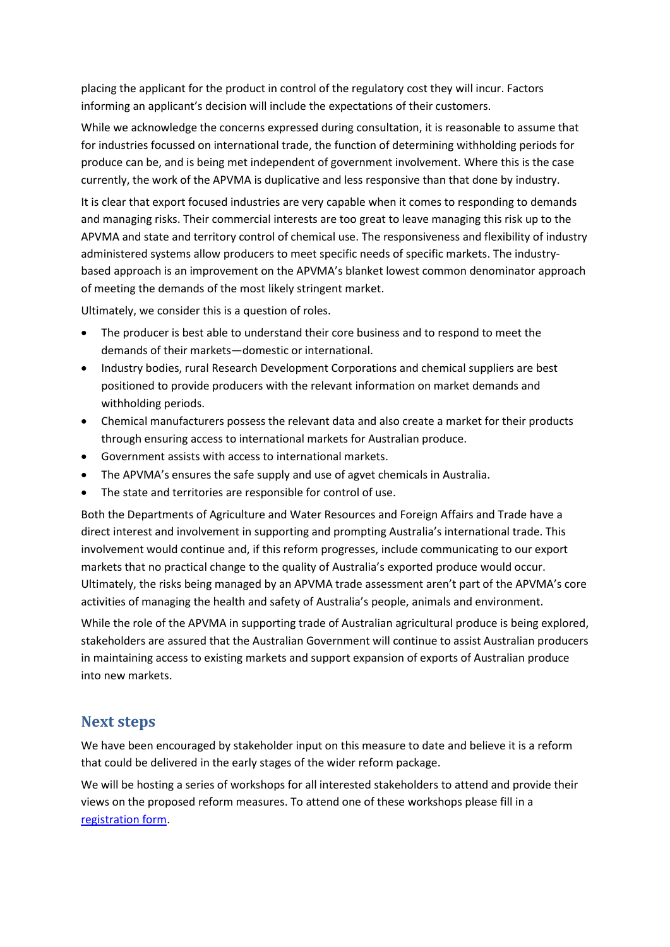placing the applicant for the product in control of the regulatory cost they will incur. Factors informing an applicant's decision will include the expectations of their customers.

While we acknowledge the concerns expressed during consultation, it is reasonable to assume that for industries focussed on international trade, the function of determining withholding periods for produce can be, and is being met independent of government involvement. Where this is the case currently, the work of the APVMA is duplicative and less responsive than that done by industry.

It is clear that export focused industries are very capable when it comes to responding to demands and managing risks. Their commercial interests are too great to leave managing this risk up to the APVMA and state and territory control of chemical use. The responsiveness and flexibility of industry administered systems allow producers to meet specific needs of specific markets. The industrybased approach is an improvement on the APVMA's blanket lowest common denominator approach of meeting the demands of the most likely stringent market.

Ultimately, we consider this is a question of roles.

- The producer is best able to understand their core business and to respond to meet the demands of their markets—domestic or international.
- Industry bodies, rural Research Development Corporations and chemical suppliers are best positioned to provide producers with the relevant information on market demands and withholding periods.
- Chemical manufacturers possess the relevant data and also create a market for their products through ensuring access to international markets for Australian produce.
- Government assists with access to international markets.
- The APVMA's ensures the safe supply and use of agvet chemicals in Australia.
- The state and territories are responsible for control of use.

Both the Departments of Agriculture and Water Resources and Foreign Affairs and Trade have a direct interest and involvement in supporting and prompting Australia's international trade. This involvement would continue and, if this reform progresses, include communicating to our export markets that no practical change to the quality of Australia's exported produce would occur. Ultimately, the risks being managed by an APVMA trade assessment aren't part of the APVMA's core activities of managing the health and safety of Australia's people, animals and environment.

While the role of the APVMA in supporting trade of Australian agricultural produce is being explored, stakeholders are assured that the Australian Government will continue to assist Australian producers in maintaining access to existing markets and support expansion of exports of Australian produce into new markets.

#### **Next steps**

We have been encouraged by stakeholder input on this measure to date and believe it is a reform that could be delivered in the early stages of the wider reform package.

We will be hosting a series of workshops for all interested stakeholders to attend and provide their views on the proposed reform measures. To attend one of these workshops please fill in a [registration form.](http://www.agriculture.gov.au/ag-farm-food/ag-vet-chemicals/agvet-workshop-registration)